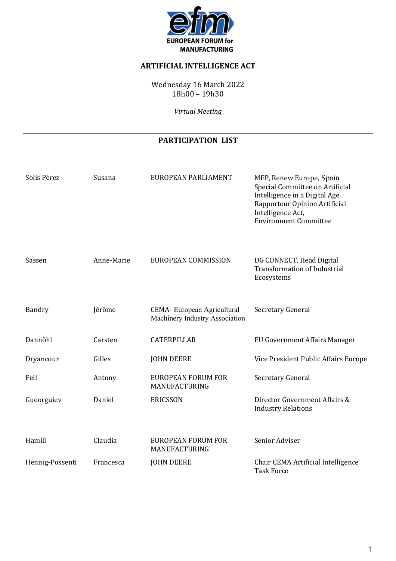

## **ARTIFICIAL INTELLIGENCE ACT**

Wednesday 16 March 2022 18h00 – 19h30

*Virtual Meeting* 

# **PARTICIPATION LIST**

| Solís Pérez     | Susana     | EUROPEAN PARLIAMENT                                           | MEP, Renew Europe, Spain<br>Special Committee on Artificial<br>Intelligence in a Digital Age<br>Rapporteur Opinion Artificial<br>Intelligence Act,<br><b>Environment Committee</b> |
|-----------------|------------|---------------------------------------------------------------|------------------------------------------------------------------------------------------------------------------------------------------------------------------------------------|
| Sassen          | Anne-Marie | EUROPEAN COMMISSION                                           | DG CONNECT, Head Digital<br><b>Transformation of Industrial</b><br>Ecosystems                                                                                                      |
| Bandry          | Jérôme     | CEMA- European Agricultural<br>Machinery Industry Association | Secretary General                                                                                                                                                                  |
| Dannöhl         | Carsten    | <b>CATERPILLAR</b>                                            | <b>EU Government Affairs Manager</b>                                                                                                                                               |
| Dryancour       | Gilles     | <b>JOHN DEERE</b>                                             | Vice President Public Affairs Europe                                                                                                                                               |
| Fell            | Antony     | <b>EUROPEAN FORUM FOR</b><br>MANUFACTURING                    | Secretary General                                                                                                                                                                  |
| Gueorguiev      | Daniel     | <b>ERICSSON</b>                                               | Director Government Affairs &<br><b>Industry Relations</b>                                                                                                                         |
| Hamill          | Claudia    | <b>EUROPEAN FORUM FOR</b><br>MANUFACTURING                    | Senior Adviser                                                                                                                                                                     |
| Hennig-Possenti | Francesca  | <b>JOHN DEERE</b>                                             | Chair CEMA Artificial Intelligence<br><b>Task Force</b>                                                                                                                            |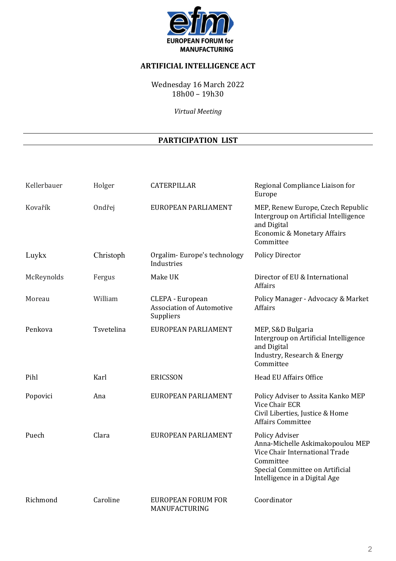

## **ARTIFICIAL INTELLIGENCE ACT**

Wednesday 16 March 2022 18h00 – 19h30

*Virtual Meeting* 

# **PARTICIPATION LIST**

| Kellerbauer | Holger     | <b>CATERPILLAR</b>                                                | Regional Compliance Liaison for<br>Europe                                                                                                                                    |
|-------------|------------|-------------------------------------------------------------------|------------------------------------------------------------------------------------------------------------------------------------------------------------------------------|
| Kovařík     | Ondřej     | EUROPEAN PARLIAMENT                                               | MEP, Renew Europe, Czech Republic<br>Intergroup on Artificial Intelligence<br>and Digital<br><b>Economic &amp; Monetary Affairs</b><br>Committee                             |
| Luykx       | Christoph  | Orgalim-Europe's technology<br>Industries                         | <b>Policy Director</b>                                                                                                                                                       |
| McReynolds  | Fergus     | Make UK                                                           | Director of EU & International<br>Affairs                                                                                                                                    |
| Moreau      | William    | CLEPA - European<br><b>Association of Automotive</b><br>Suppliers | Policy Manager - Advocacy & Market<br>Affairs                                                                                                                                |
| Penkova     | Tsvetelina | EUROPEAN PARLIAMENT                                               | MEP, S&D Bulgaria<br>Intergroup on Artificial Intelligence<br>and Digital<br>Industry, Research & Energy<br>Committee                                                        |
| Pihl        | Karl       | <b>ERICSSON</b>                                                   | <b>Head EU Affairs Office</b>                                                                                                                                                |
| Popovici    | Ana        | EUROPEAN PARLIAMENT                                               | Policy Adviser to Assita Kanko MEP<br><b>Vice Chair ECR</b><br>Civil Liberties, Justice & Home<br><b>Affairs Committee</b>                                                   |
| Puech       | Clara      | EUROPEAN PARLIAMENT                                               | <b>Policy Adviser</b><br>Anna-Michelle Askimakopoulou MEP<br>Vice Chair International Trade<br>Committee<br>Special Committee on Artificial<br>Intelligence in a Digital Age |
| Richmond    | Caroline   | <b>EUROPEAN FORUM FOR</b><br>MANUFACTURING                        | Coordinator                                                                                                                                                                  |